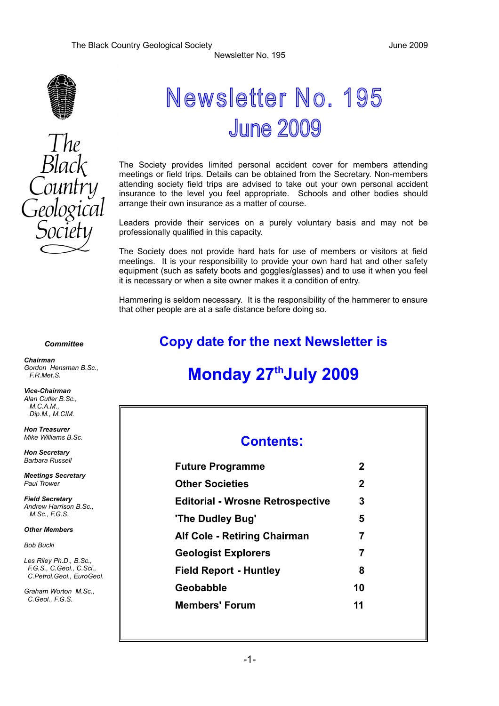



## Newsletter No. 195 **June 2009**

Newsletter No. 195

The Society provides limited personal accident cover for members attending meetings or field trips. Details can be obtained from the Secretary. Non-members attending society field trips are advised to take out your own personal accident insurance to the level you feel appropriate. Schools and other bodies should arrange their own insurance as a matter of course.

Leaders provide their services on a purely voluntary basis and may not be professionally qualified in this capacity.

The Society does not provide hard hats for use of members or visitors at field meetings. It is your responsibility to provide your own hard hat and other safety equipment (such as safety boots and goggles/glasses) and to use it when you feel it is necessary or when a site owner makes it a condition of entry.

Hammering is seldom necessary. It is the responsibility of the hammerer to ensure that other people are at a safe distance before doing so.

#### *Committee*

**Copy date for the next Newsletter is**

## **Monday 27thJuly 2009**

#### **Contents:**

| <b>Future Programme</b>                                     | $\mathbf 2$ |
|-------------------------------------------------------------|-------------|
| <b>Other Societies</b>                                      | $\mathbf 2$ |
| <b>Editorial - Wrosne Retrospective</b>                     | 3           |
| 'The Dudley Bug'                                            | 5           |
| <b>Alf Cole - Retiring Chairman</b>                         | 7           |
| <b>Geologist Explorers</b><br><b>Field Report - Huntley</b> | 7<br>8      |
|                                                             |             |
| <b>Members' Forum</b>                                       | 11          |
|                                                             |             |

*Chairman Gordon Hensman B.Sc., F.R.Met.S.*

*Vice-Chairman Alan Cutler B.Sc., M.C.A.M., Dip.M., M.CIM.*

*Hon Treasurer Mike Williams B.Sc.*

*Hon Secretary Barbara Russell*

*Meetings Secretary Paul Trower*

*Field Secretary Andrew Harrison B.Sc., M.Sc., F.G.S.*

*Other Members*

*Bob Bucki*

*Les Riley Ph.D., B.Sc., F.G.S., C.Geol., C.Sci., C.Petrol.Geol., EuroGeol.*

*Graham Worton M.Sc., C.Geol., F.G.S.*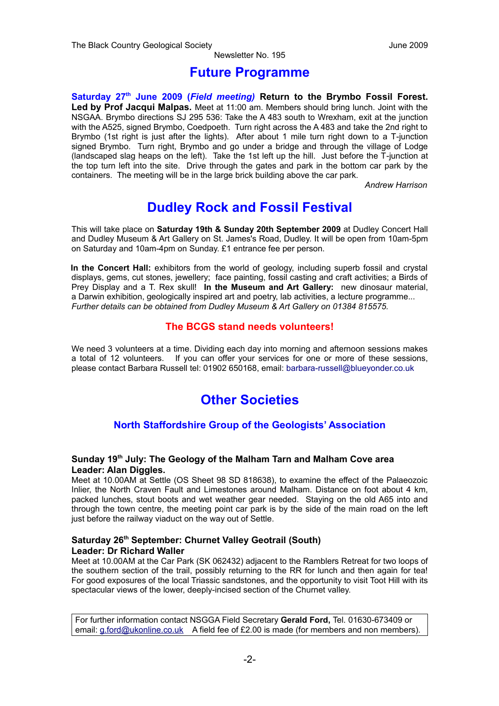#### **Future Programme**

**Saturday 27th June 2009 (***Field meeting)* **Return to the Brymbo Fossil Forest. Led by Prof Jacqui Malpas.** Meet at 11:00 am. Members should bring lunch. Joint with the NSGAA. Brymbo directions SJ 295 536: Take the A 483 south to Wrexham, exit at the junction with the A525, signed Brymbo, Coedpoeth. Turn right across the A 483 and take the 2nd right to Brymbo (1st right is just after the lights). After about 1 mile turn right down to a T-junction signed Brymbo. Turn right, Brymbo and go under a bridge and through the village of Lodge (landscaped slag heaps on the left). Take the 1st left up the hill. Just before the T-junction at the top turn left into the site. Drive through the gates and park in the bottom car park by the containers. The meeting will be in the large brick building above the car park.

*Andrew Harrison*

## **Dudley Rock and Fossil Festival**

This will take place on **Saturday 19th & Sunday 20th September 2009** at Dudley Concert Hall and Dudley Museum & Art Gallery on St. James's Road, Dudley. It will be open from 10am-5pm on Saturday and 10am-4pm on Sunday. £1 entrance fee per person.

**In the Concert Hall:** exhibitors from the world of geology, including superb fossil and crystal displays, gems, cut stones, jewellery; face painting, fossil casting and craft activities; a Birds of Prey Display and a T. Rex skull! **In the Museum and Art Gallery:** new dinosaur material, a Darwin exhibition, geologically inspired art and poetry, lab activities, a lecture programme... *Further details can be obtained from Dudley Museum & Art Gallery on 01384 815575.*

#### **The BCGS stand needs volunteers!**

We need 3 volunteers at a time. Dividing each day into morning and afternoon sessions makes a total of 12 volunteers. If you can offer your services for one or more of these sessions, please contact Barbara Russell tel: 01902 650168, email: [barbara-russell@blueyonder.co.uk](mailto:barbara-russell@blueyonder.co.uk)

## **Other Societies**

#### **North Staffordshire Group of the Geologists' Association**

#### **Sunday 19th July: The Geology of the Malham Tarn and Malham Cove area Leader: Alan Diggles.**

Meet at 10.00AM at Settle (OS Sheet 98 SD 818638), to examine the effect of the Palaeozoic Inlier, the North Craven Fault and Limestones around Malham. Distance on foot about 4 km, packed lunches, stout boots and wet weather gear needed. Staying on the old A65 into and through the town centre, the meeting point car park is by the side of the main road on the left just before the railway viaduct on the way out of Settle.

#### **Saturday 26th September: Churnet Valley Geotrail (South) Leader: Dr Richard Waller**

Meet at 10.00AM at the Car Park (SK 062432) adjacent to the Ramblers Retreat for two loops of the southern section of the trail, possibly returning to the RR for lunch and then again for tea! For good exposures of the local Triassic sandstones, and the opportunity to visit Toot Hill with its spectacular views of the lower, deeply-incised section of the Churnet valley.

For further information contact NSGGA Field Secretary **Gerald Ford,** Tel. 01630-673409 or email: [g.ford@ukonline.co.uk](mailto:g.ford@ukonline.co.uk) A field fee of £2.00 is made (for members and non members).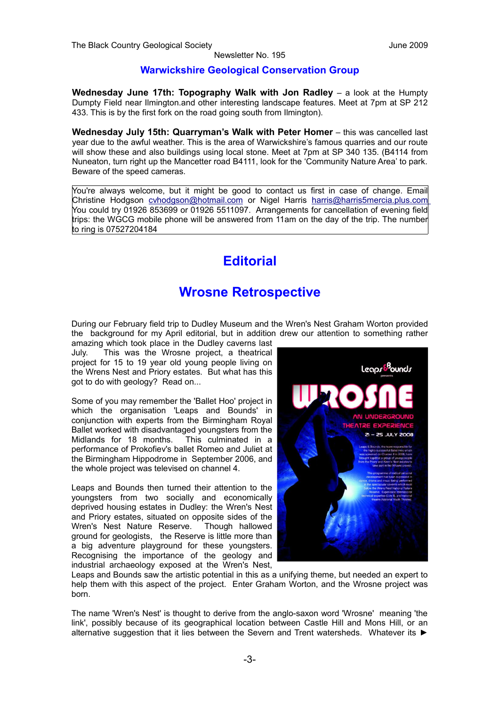#### **Warwickshire Geological Conservation Group**

**Wednesday June 17th: Topography Walk with Jon Radley** – a look at the Humpty Dumpty Field near Ilmington.and other interesting landscape features. Meet at 7pm at SP 212 433. This is by the first fork on the road going south from Ilmington).

**Wednesday July 15th: Quarryman's Walk with Peter Homer** – this was cancelled last year due to the awful weather. This is the area of Warwickshire's famous quarries and our route will show these and also buildings using local stone. Meet at 7pm at SP 340 135. (B4114 from Nuneaton, turn right up the Mancetter road B4111, look for the 'Community Nature Area' to park. Beware of the speed cameras.

You're always welcome, but it might be good to contact us first in case of change. Email Christine Hodgson [cvhodgson@hotmail.com](mailto:cvhodgson@hotmail.com) or Nigel Harris [harris@harris5mercia.plus.com](mailto:harris@harris5mercia.plus.com) You could try 01926 853699 or 01926 5511097. Arrangements for cancellation of evening field trips: the WGCG mobile phone will be answered from 11am on the day of the trip. The number to ring is 07527204184

## **Editorial**

## **Wrosne Retrospective**

During our February field trip to Dudley Museum and the Wren's Nest Graham Worton provided the background for my April editorial, but in addition drew our attention to something rather

amazing which took place in the Dudley caverns last July. This was the Wrosne project, a theatrical project for 15 to 19 year old young people living on the Wrens Nest and Priory estates. But what has this got to do with geology? Read on...

Some of you may remember the 'Ballet Hoo' project in which the organisation 'Leaps and Bounds' in conjunction with experts from the Birmingham Royal Ballet worked with disadvantaged youngsters from the Midlands for 18 months. This culminated in a performance of Prokofiev's ballet Romeo and Juliet at the Birmingham Hippodrome in September 2006, and the whole project was televised on channel 4.

Leaps and Bounds then turned their attention to the youngsters from two socially and economically deprived housing estates in Dudley: the Wren's Nest and Priory estates, situated on opposite sides of the Wren's Nest Nature Reserve. Though hallowed ground for geologists, the Reserve is little more than a big adventure playground for these youngsters. Recognising the importance of the geology and industrial archaeology exposed at the Wren's Nest,



Leaps and Bounds saw the artistic potential in this as a unifying theme, but needed an expert to help them with this aspect of the project. Enter Graham Worton, and the Wrosne project was born.

The name 'Wren's Nest' is thought to derive from the anglo-saxon word 'Wrosne' meaning 'the link', possibly because of its geographical location between Castle Hill and Mons Hill, or an alternative suggestion that it lies between the Severn and Trent watersheds. Whatever its ►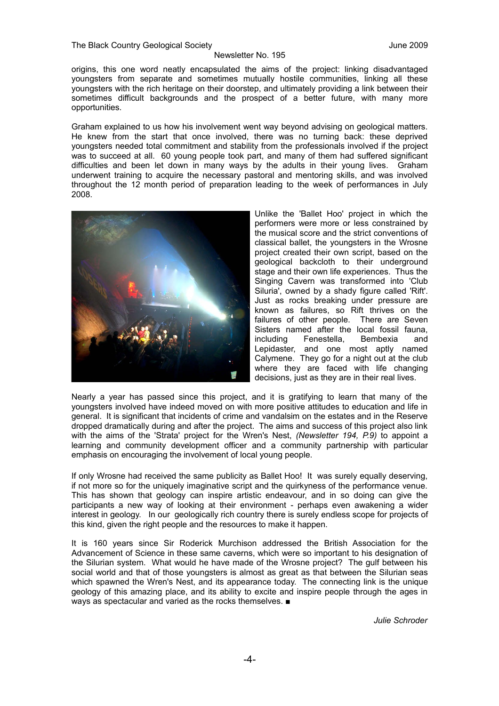The Black Country Geological Society June 2009

#### Newsletter No. 195

origins, this one word neatly encapsulated the aims of the project: linking disadvantaged youngsters from separate and sometimes mutually hostile communities, linking all these youngsters with the rich heritage on their doorstep, and ultimately providing a link between their sometimes difficult backgrounds and the prospect of a better future, with many more opportunities.

Graham explained to us how his involvement went way beyond advising on geological matters. He knew from the start that once involved, there was no turning back: these deprived youngsters needed total commitment and stability from the professionals involved if the project was to succeed at all. 60 young people took part, and many of them had suffered significant difficulties and been let down in many ways by the adults in their young lives. Graham underwent training to acquire the necessary pastoral and mentoring skills, and was involved throughout the 12 month period of preparation leading to the week of performances in July 2008.



Unlike the 'Ballet Hoo' project in which the performers were more or less constrained by the musical score and the strict conventions of classical ballet, the youngsters in the Wrosne project created their own script, based on the geological backcloth to their underground stage and their own life experiences. Thus the Singing Cavern was transformed into 'Club Siluria', owned by a shady figure called 'Rift'. Just as rocks breaking under pressure are known as failures, so Rift thrives on the failures of other people. There are Seven Sisters named after the local fossil fauna, including Fenestella, Bembexia and Lepidaster, and one most aptly named Calymene. They go for a night out at the club where they are faced with life changing decisions, just as they are in their real lives.

Nearly a year has passed since this project, and it is gratifying to learn that many of the youngsters involved have indeed moved on with more positive attitudes to education and life in general. It is significant that incidents of crime and vandalsim on the estates and in the Reserve dropped dramatically during and after the project. The aims and success of this project also link with the aims of the 'Strata' project for the Wren's Nest, *(Newsletter 194, P.9)* to appoint a learning and community development officer and a community partnership with particular emphasis on encouraging the involvement of local young people.

If only Wrosne had received the same publicity as Ballet Hoo! It was surely equally deserving, if not more so for the uniquely imaginative script and the quirkyness of the performance venue. This has shown that geology can inspire artistic endeavour, and in so doing can give the participants a new way of looking at their environment - perhaps even awakening a wider interest in geology. In our geologically rich country there is surely endless scope for projects of this kind, given the right people and the resources to make it happen.

It is 160 years since Sir Roderick Murchison addressed the British Association for the Advancement of Science in these same caverns, which were so important to his designation of the Silurian system. What would he have made of the Wrosne project? The gulf between his social world and that of those youngsters is almost as great as that between the Silurian seas which spawned the Wren's Nest, and its appearance today. The connecting link is the unique geology of this amazing place, and its ability to excite and inspire people through the ages in ways as spectacular and varied as the rocks themselves. ■

*Julie Schroder*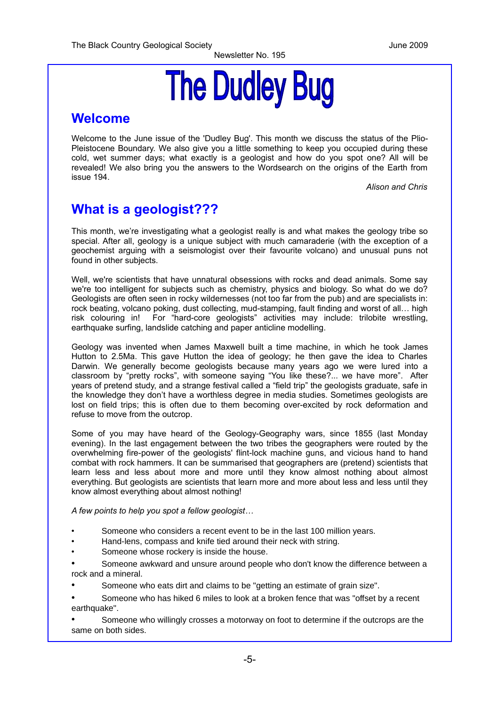# **The Dudley Bug**

#### **Welcome**

Welcome to the June issue of the 'Dudley Bug'. This month we discuss the status of the Plio-Pleistocene Boundary. We also give you a little something to keep you occupied during these cold, wet summer days; what exactly is a geologist and how do you spot one? All will be revealed! We also bring you the answers to the Wordsearch on the origins of the Earth from issue 194.

*Alison and Chris*

## **What is a geologist???**

This month, we're investigating what a geologist really is and what makes the geology tribe so special. After all, geology is a unique subject with much camaraderie (with the exception of a geochemist arguing with a seismologist over their favourite volcano) and unusual puns not found in other subjects.

Well, we're scientists that have unnatural obsessions with rocks and dead animals. Some say we're too intelligent for subjects such as chemistry, physics and biology. So what do we do? Geologists are often seen in rocky wildernesses (not too far from the pub) and are specialists in: rock beating, volcano poking, dust collecting, mud-stamping, fault finding and worst of all… high risk colouring in! For "hard-core geologists" activities may include: trilobite wrestling, earthquake surfing, landslide catching and paper anticline modelling.

Geology was invented when James Maxwell built a time machine, in which he took James Hutton to 2.5Ma. This gave Hutton the idea of geology; he then gave the idea to Charles Darwin. We generally become geologists because many years ago we were lured into a classroom by "pretty rocks", with someone saying "You like these?... we have more". After years of pretend study, and a strange festival called a "field trip" the geologists graduate, safe in the knowledge they don't have a worthless degree in media studies. Sometimes geologists are lost on field trips; this is often due to them becoming over-excited by rock deformation and refuse to move from the outcrop.

Some of you may have heard of the Geology-Geography wars, since 1855 (last Monday evening). In the last engagement between the two tribes the geographers were routed by the overwhelming fire-power of the geologists' flint-lock machine guns, and vicious hand to hand combat with rock hammers. It can be summarised that geographers are (pretend) scientists that learn less and less about more and more until they know almost nothing about almost everything. But geologists are scientists that learn more and more about less and less until they know almost everything about almost nothing!

*A few points to help you spot a fellow geologist…*

- Someone who considers a recent event to be in the last 100 million years.
- Hand-lens, compass and knife tied around their neck with string.
- Someone whose rockery is inside the house.
- Someone awkward and unsure around people who don't know the difference between a rock and a mineral.
- Someone who eats dirt and claims to be "getting an estimate of grain size".
- Someone who has hiked 6 miles to look at a broken fence that was "offset by a recent earthquake".
- Someone who willingly crosses a motorway on foot to determine if the outcrops are the same on both sides.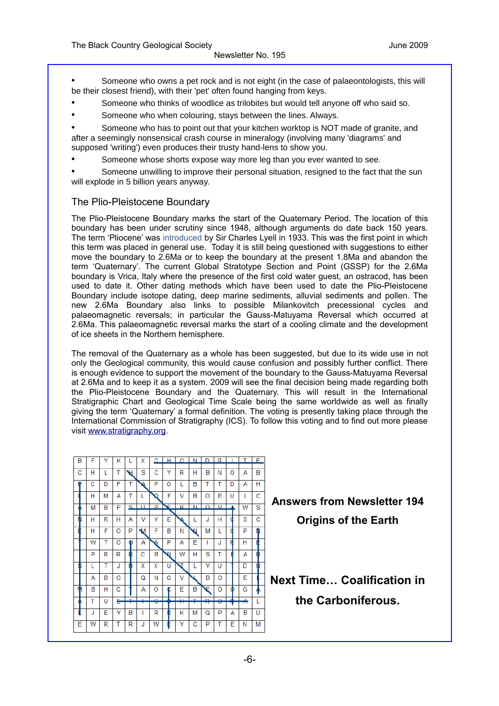• Someone who owns a pet rock and is not eight (in the case of palaeontologists, this will be their closest friend), with their 'pet' often found hanging from keys.

- Someone who thinks of woodlice as trilobites but would tell anyone off who said so.
- Someone who when colouring, stays between the lines. Always.

• Someone who has to point out that your kitchen worktop is NOT made of granite, and after a seemingly nonsensical crash course in mineralogy (involving many 'diagrams' and supposed 'writing') even produces their trusty hand-lens to show you.

Someone whose shorts expose way more leg than you ever wanted to see.

• Someone unwilling to improve their personal situation, resigned to the fact that the sun will explode in 5 billion years anyway.

#### The Plio-Pleistocene Boundary

The Plio-Pleistocene Boundary marks the start of the Quaternary Period. The location of this boundary has been under scrutiny since 1948, although arguments do date back 150 years. The term 'Pliocene' was introduced by Sir Charles Lyell in 1933. This was the first point in which this term was placed in general use. Today it is still being questioned with suggestions to either move the boundary to 2.6Ma or to keep the boundary at the present 1.8Ma and abandon the term 'Quaternary'. The current Global Stratotype Section and Point (GSSP) for the 2.6Ma boundary is Vrica, Italy where the presence of the first cold water guest, an ostracod, has been used to date it. Other dating methods which have been used to date the Plio-Pleistocene Boundary include isotope dating, deep marine sediments, alluvial sediments and pollen. The new 2.6Ma Boundary also links to possible Milankovitch precessional cycles and palaeomagnetic reversals; in particular the Gauss-Matuyama Reversal which occurred at 2.6Ma. This palaeomagnetic reversal marks the start of a cooling climate and the development of ice sheets in the Northern hemisphere.

The removal of the Quaternary as a whole has been suggested, but due to its wide use in not only the Geological community, this would cause confusion and possibly further conflict. There is enough evidence to support the movement of the boundary to the Gauss-Matuyama Reversal at 2.6Ma and to keep it as a system. 2009 will see the final decision being made regarding both the Plio-Pleistocene Boundary and the Quaternary. This will result in the International Stratigraphic Chart and Geological Time Scale being the same worldwide as well as finally giving the term 'Quaternary' a formal definition. The voting is presently taking place through the International Commission of Stratigraphy (ICS). To follow this voting and to find out more please visit [www.stratigraphy.org.](http://www.stratigraphy.org/)

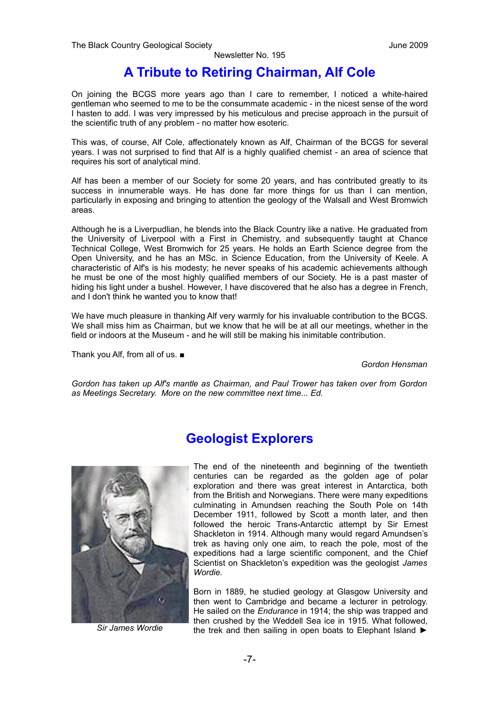## **A Tribute to Retiring Chairman, Alf Cole**

On joining the BCGS more years ago than I care to remember, I noticed a white-haired gentleman who seemed to me to be the consummate academic - in the nicest sense of the word I hasten to add. I was very impressed by his meticulous and precise approach in the pursuit of the scientific truth of any problem - no matter how esoteric.

This was, of course, Alf Cole, affectionately known as Alf, Chairman of the BCGS for several years. I was not surprised to find that Alf is a highly qualified chemist - an area of science that requires his sort of analytical mind.

Alf has been a member of our Society for some 20 years, and has contributed greatly to its success in innumerable ways. He has done far more things for us than I can mention, particularly in exposing and bringing to attention the geology of the Walsall and West Bromwich areas.

Although he is a Liverpudlian, he blends into the Black Country like a native. He graduated from the University of Liverpool with a First in Chemistry, and subsequently taught at Chance Technical College, West Bromwich for 25 years. He holds an Earth Science degree from the Open University, and he has an MSc. in Science Education, from the University of Keele. A characteristic of Alf's is his modesty; he never speaks of his academic achievements although he must be one of the most highly qualified members of our Society. He is a past master of hiding his light under a bushel. However, I have discovered that he also has a degree in French, and I don't think he wanted you to know that!

We have much pleasure in thanking Alf very warmly for his invaluable contribution to the BCGS. We shall miss him as Chairman, but we know that he will be at all our meetings, whether in the field or indoors at the Museum - and he will still be making his inimitable contribution.

Thank you Alf, from all of us. ■

*Gordon Hensman*

*Gordon has taken up Alf's mantle as Chairman, and Paul Trower has taken over from Gordon as Meetings Secretary. More on the new committee next time... Ed.*

## **Geologist Explorers**



*Sir James Wordie*

The end of the nineteenth and beginning of the twentieth centuries can be regarded as the golden age of polar exploration and there was great interest in Antarctica, both from the British and Norwegians. There were many expeditions culminating in Amundsen reaching the South Pole on 14th December 1911, followed by Scott a month later, and then followed the heroic Trans-Antarctic attempt by Sir Ernest Shackleton in 1914. Although many would regard Amundsen's trek as having only one aim, to reach the pole, most of the expeditions had a large scientific component, and the Chief Scientist on Shackleton's expedition was the geologist *James Wordie.*

Born in 1889, he studied geology at Glasgow University and then went to Cambridge and became a lecturer in petrology. He sailed on the *Endurance* in 1914; the ship was trapped and then crushed by the Weddell Sea ice in 1915. What followed, the trek and then sailing in open boats to Elephant Island ►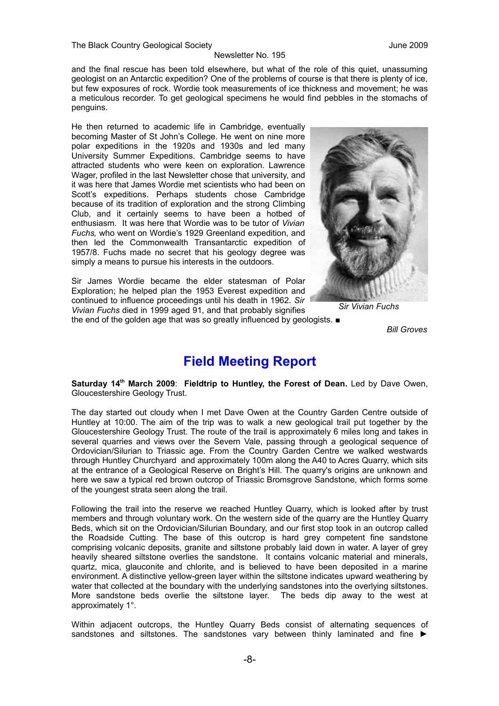and the final rescue has been told elsewhere, but what of the role of this quiet, unassuming geologist on an Antarctic expedition? One of the problems of course is that there is plenty of ice, but few exposures of rock. Wordie took measurements of ice thickness and movement; he was a meticulous recorder. To get geological specimens he would find pebbles in the stomachs of penguins.

He then returned to academic life in Cambridge, eventually becoming Master of St John's College. He went on nine more polar expeditions in the 1920s and 1930s and led many University Summer Expeditions. Cambridge seems to have attracted students who were keen on exploration. Lawrence Wager, profiled in the last Newsletter chose that university, and it was here that James Wordie met scientists who had been on Scott's expeditions. Perhaps students chose Cambridge because of its tradition of exploration and the strong Climbing Club, and it certainly seems to have been a hotbed of enthusiasm. It was here that Wordie was to be tutor of *Vivian Fuchs,* who went on Wordie's 1929 Greenland expedition, and then led the Commonwealth Transantarctic expedition of 1957/8. Fuchs made no secret that his geology degree was simply a means to pursue his interests in the outdoors.

Sir James Wordie became the elder statesman of Polar Exploration; he helped plan the 1953 Everest expedition and continued to influence proceedings until his death in 1962. *Sir Vivian Fuchs* died in 1999 aged 91, and that probably signifies

the end of the golden age that was so greatly influenced by geologists. ■



*Sir Vivian Fuchs*

*Bill Groves*

## **Field Meeting Report**

**Saturday 14th March 2009**: **Fieldtrip to Huntley, the Forest of Dean.** Led by Dave Owen, Gloucestershire Geology Trust.

The day started out cloudy when I met Dave Owen at the Country Garden Centre outside of Huntley at 10:00. The aim of the trip was to walk a new geological trail put together by the Gloucestershire Geology Trust. The route of the trail is approximately 6 miles long and takes in several quarries and views over the Severn Vale, passing through a geological sequence of Ordovician/Silurian to Triassic age. From the Country Garden Centre we walked westwards through Huntley Churchyard and approximately 100m along the A40 to Acres Quarry, which sits at the entrance of a Geological Reserve on Bright's Hill. The quarry's origins are unknown and here we saw a typical red brown outcrop of Triassic Bromsgrove Sandstone, which forms some of the youngest strata seen along the trail.

Following the trail into the reserve we reached Huntley Quarry, which is looked after by trust members and through voluntary work. On the western side of the quarry are the Huntley Quarry Beds, which sit on the Ordovician/Silurian Boundary, and our first stop took in an outcrop called the Roadside Cutting. The base of this outcrop is hard grey competent fine sandstone comprising volcanic deposits, granite and siltstone probably laid down in water. A layer of grey heavily sheared siltstone overlies the sandstone. It contains volcanic material and minerals, quartz, mica, glauconite and chlorite, and is believed to have been deposited in a marine environment. A distinctive yellow-green layer within the siltstone indicates upward weathering by water that collected at the boundary with the underlying sandstones into the overlying siltstones. More sandstone beds overlie the siltstone layer. The beds dip away to the west at approximately 1°.

Within adjacent outcrops, the Huntley Quarry Beds consist of alternating sequences of sandstones and siltstones. The sandstones vary between thinly laminated and fine ►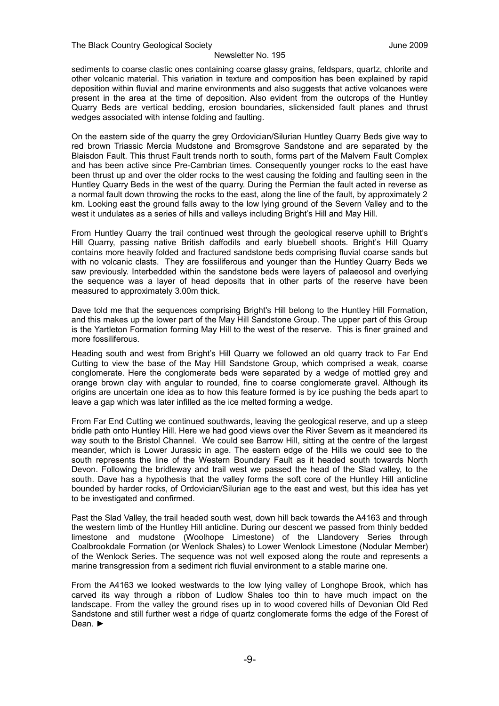sediments to coarse clastic ones containing coarse glassy grains, feldspars, quartz, chlorite and other volcanic material. This variation in texture and composition has been explained by rapid deposition within fluvial and marine environments and also suggests that active volcanoes were present in the area at the time of deposition. Also evident from the outcrops of the Huntley Quarry Beds are vertical bedding, erosion boundaries, slickensided fault planes and thrust wedges associated with intense folding and faulting.

On the eastern side of the quarry the grey Ordovician/Silurian Huntley Quarry Beds give way to red brown Triassic Mercia Mudstone and Bromsgrove Sandstone and are separated by the Blaisdon Fault. This thrust Fault trends north to south, forms part of the Malvern Fault Complex and has been active since Pre-Cambrian times. Consequently younger rocks to the east have been thrust up and over the older rocks to the west causing the folding and faulting seen in the Huntley Quarry Beds in the west of the quarry. During the Permian the fault acted in reverse as a normal fault down throwing the rocks to the east, along the line of the fault, by approximately 2 km. Looking east the ground falls away to the low lying ground of the Severn Valley and to the west it undulates as a series of hills and valleys including Bright's Hill and May Hill.

From Huntley Quarry the trail continued west through the geological reserve uphill to Bright's Hill Quarry, passing native British daffodils and early bluebell shoots. Bright's Hill Quarry contains more heavily folded and fractured sandstone beds comprising fluvial coarse sands but with no volcanic clasts. They are fossiliferous and younger than the Huntley Quarry Beds we saw previously. Interbedded within the sandstone beds were layers of palaeosol and overlying the sequence was a layer of head deposits that in other parts of the reserve have been measured to approximately 3.00m thick.

Dave told me that the sequences comprising Bright's Hill belong to the Huntley Hill Formation, and this makes up the lower part of the May Hill Sandstone Group. The upper part of this Group is the Yartleton Formation forming May Hill to the west of the reserve. This is finer grained and more fossiliferous.

Heading south and west from Bright's Hill Quarry we followed an old quarry track to Far End Cutting to view the base of the May Hill Sandstone Group, which comprised a weak, coarse conglomerate. Here the conglomerate beds were separated by a wedge of mottled grey and orange brown clay with angular to rounded, fine to coarse conglomerate gravel. Although its origins are uncertain one idea as to how this feature formed is by ice pushing the beds apart to leave a gap which was later infilled as the ice melted forming a wedge.

From Far End Cutting we continued southwards, leaving the geological reserve, and up a steep bridle path onto Huntley Hill. Here we had good views over the River Severn as it meandered its way south to the Bristol Channel. We could see Barrow Hill, sitting at the centre of the largest meander, which is Lower Jurassic in age. The eastern edge of the Hills we could see to the south represents the line of the Western Boundary Fault as it headed south towards North Devon. Following the bridleway and trail west we passed the head of the Slad valley, to the south. Dave has a hypothesis that the valley forms the soft core of the Huntley Hill anticline bounded by harder rocks, of Ordovician/Silurian age to the east and west, but this idea has yet to be investigated and confirmed.

Past the Slad Valley, the trail headed south west, down hill back towards the A4163 and through the western limb of the Huntley Hill anticline. During our descent we passed from thinly bedded limestone and mudstone (Woolhope Limestone) of the Llandovery Series through Coalbrookdale Formation (or Wenlock Shales) to Lower Wenlock Limestone (Nodular Member) of the Wenlock Series. The sequence was not well exposed along the route and represents a marine transgression from a sediment rich fluvial environment to a stable marine one.

From the A4163 we looked westwards to the low lying valley of Longhope Brook, which has carved its way through a ribbon of Ludlow Shales too thin to have much impact on the landscape. From the valley the ground rises up in to wood covered hills of Devonian Old Red Sandstone and still further west a ridge of quartz conglomerate forms the edge of the Forest of Dean. ►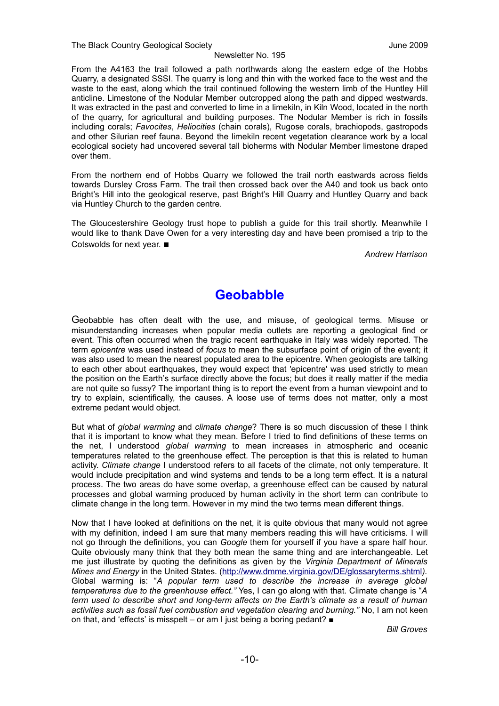The Black Country Geological Society June 2009

From the A4163 the trail followed a path northwards along the eastern edge of the Hobbs Quarry, a designated SSSI. The quarry is long and thin with the worked face to the west and the waste to the east, along which the trail continued following the western limb of the Huntley Hill anticline. Limestone of the Nodular Member outcropped along the path and dipped westwards. It was extracted in the past and converted to lime in a limekiln, in Kiln Wood, located in the north of the quarry, for agricultural and building purposes. The Nodular Member is rich in fossils including corals; *Favocites*, *Heliocities* (chain corals), Rugose corals, brachiopods, gastropods and other Silurian reef fauna. Beyond the limekiln recent vegetation clearance work by a local ecological society had uncovered several tall bioherms with Nodular Member limestone draped over them.

From the northern end of Hobbs Quarry we followed the trail north eastwards across fields towards Dursley Cross Farm. The trail then crossed back over the A40 and took us back onto Bright's Hill into the geological reserve, past Bright's Hill Quarry and Huntley Quarry and back via Huntley Church to the garden centre.

The Gloucestershire Geology trust hope to publish a guide for this trail shortly. Meanwhile I would like to thank Dave Owen for a very interesting day and have been promised a trip to the Cotswolds for next year. ■

*Andrew Harrison*

## **Geobabble**

Geobabble has often dealt with the use, and misuse, of geological terms. Misuse or misunderstanding increases when popular media outlets are reporting a geological find or event. This often occurred when the tragic recent earthquake in Italy was widely reported. The term *epicentre* was used instead of *focus* to mean the subsurface point of origin of the event; it was also used to mean the nearest populated area to the epicentre. When geologists are talking to each other about earthquakes, they would expect that 'epicentre' was used strictly to mean the position on the Earth's surface directly above the focus; but does it really matter if the media are not quite so fussy? The important thing is to report the event from a human viewpoint and to try to explain, scientifically, the causes. A loose use of terms does not matter, only a most extreme pedant would object.

But what of *global warming* and *climate change*? There is so much discussion of these I think that it is important to know what they mean. Before I tried to find definitions of these terms on the net, I understood *global warming* to mean increases in atmospheric and oceanic temperatures related to the greenhouse effect. The perception is that this is related to human activity. *Climate change* I understood refers to all facets of the climate, not only temperature. It would include precipitation and wind systems and tends to be a long term effect. It is a natural process. The two areas do have some overlap, a greenhouse effect can be caused by natural processes and global warming produced by human activity in the short term can contribute to climate change in the long term. However in my mind the two terms mean different things.

Now that I have looked at definitions on the net, it is quite obvious that many would not agree with my definition, indeed I am sure that many members reading this will have criticisms. I will not go through the definitions, you can *Google* them for yourself if you have a spare half hour. Quite obviously many think that they both mean the same thing and are interchangeable. Let me just illustrate by quoting the definitions as given by the *Virginia Department of Minerals Mines and Energy* in the United States. [\(http://www.dmme.virginia.gov/DE/glossaryterms.shtml](http://www.dmme.virginia.gov/DE/glossaryterms.shtml)*).* Global warming is: "*A popular term used to describe the increase in average global temperatures due to the greenhouse effect."* Yes, I can go along with that. Climate change is "*A term used to describe short and long-term affects on the Earth's climate as a result of human activities such as fossil fuel combustion and vegetation clearing and burning."* No, I am not keen on that, and 'effects' is misspelt – or am I just being a boring pedant? ■

*Bill Groves*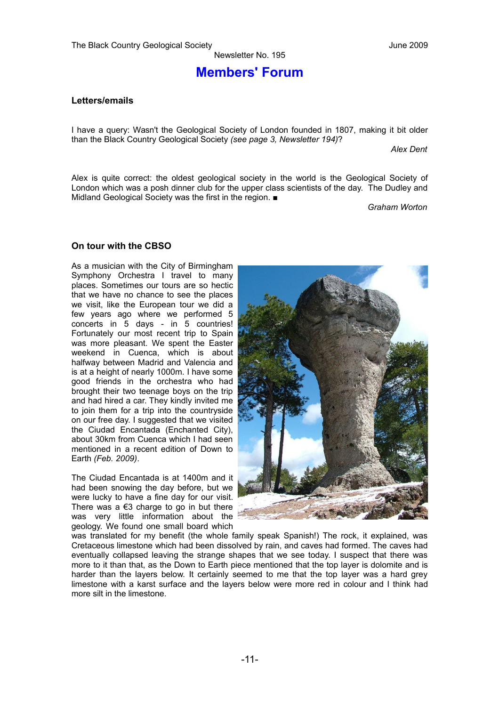### **Members' Forum**

#### **Letters/emails**

I have a query: Wasn't the Geological Society of London founded in 1807, making it bit older than the Black Country Geological Society *(see page 3, Newsletter 194)*?

*Alex Dent*

Alex is quite correct: the oldest geological society in the world is the Geological Society of London which was a posh dinner club for the upper class scientists of the day. The Dudley and Midland Geological Society was the first in the region. ■

*Graham Worton*

#### **On tour with the CBSO**

As a musician with the City of Birmingham Symphony Orchestra I travel to many places. Sometimes our tours are so hectic that we have no chance to see the places we visit, like the European tour we did a few years ago where we performed 5 concerts in 5 days - in 5 countries! Fortunately our most recent trip to Spain was more pleasant. We spent the Easter weekend in Cuenca, which is about halfway between Madrid and Valencia and is at a height of nearly 1000m. I have some good friends in the orchestra who had brought their two teenage boys on the trip and had hired a car. They kindly invited me to join them for a trip into the countryside on our free day. I suggested that we visited the Ciudad Encantada (Enchanted City), about 30km from Cuenca which I had seen mentioned in a recent edition of Down to Earth *(Feb. 2009)*.

The Ciudad Encantada is at 1400m and it had been snowing the day before, but we were lucky to have a fine day for our visit. There was a  $€3$  charge to go in but there was very little information about the geology. We found one small board which



was translated for my benefit (the whole family speak Spanish!) The rock, it explained, was Cretaceous limestone which had been dissolved by rain, and caves had formed. The caves had eventually collapsed leaving the strange shapes that we see today. I suspect that there was more to it than that, as the Down to Earth piece mentioned that the top layer is dolomite and is harder than the layers below. It certainly seemed to me that the top layer was a hard grey limestone with a karst surface and the layers below were more red in colour and I think had more silt in the limestone.